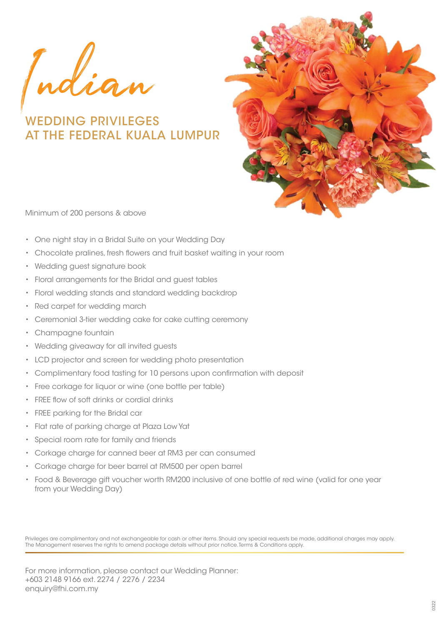Indian

WEDDING PRIVILEGES AT THE FEDERAL KUALA LUMPUR



Minimum of 200 persons & above

- One night stay in a Bridal Suite on your Wedding Day
- Chocolate pralines, fresh flowers and fruit basket waiting in your room
- Wedding guest signature book
- Floral arrangements for the Bridal and guest tables
- Floral wedding stands and standard wedding backdrop
- Red carpet for wedding march
- Ceremonial 3-tier wedding cake for cake cutting ceremony
- Champagne fountain
- Wedding giveaway for all invited guests
- LCD projector and screen for wedding photo presentation
- Complimentary food tasting for 10 persons upon confirmation with deposit
- Free corkage for liquor or wine (one bottle per table)
- FREE flow of soft drinks or cordial drinks
- FREE parking for the Bridal car
- Flat rate of parking charge at Plaza Low Yat
- Special room rate for family and friends
- Corkage charge for canned beer at RM3 per can consumed
- Corkage charge for beer barrel at RM500 per open barrel
- Food & Beverage gift voucher worth RM200 inclusive of one bottle of red wine (valid for one year from your Wedding Day)

Privileges are complimentary and not exchangeable for cash or other items. Should any special requests be made, additional charges may apply. The Management reserves the rights to amend package details without prior notice. Terms & Conditions apply.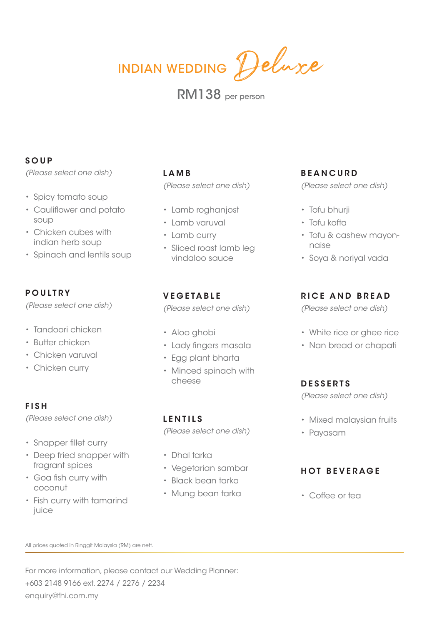INDIAN WEDDING Deluxe

# RM138 per person

# **SOUP**

*(Please select one dish)*

- Spicy tomato soup
- Cauliflower and potato soup
- Chicken cubes with indian herb soup
- Spinach and lentils soup

# **POULTRY**

*(Please select one dish)*

- Tandoori chicken
- Butter chicken
- Chicken varuval
- Chicken curry

## **FISH**

*(Please select one dish)*

- Snapper fillet curry
- Deep fried snapper with fragrant spices
- Goa fish curry with coconut
- Fish curry with tamarind juice

### **LAMB**

*(Please select one dish)*

- Lamb roghanjost
- Lamb varuval
- Lamb curry
- Sliced roast lamb leg vindaloo sauce

# **VEGETABLE**

*(Please select one dish)*

- Aloo ghobi
- Lady fingers masala
- Egg plant bharta
- Minced spinach with cheese

## **LENTILS**

*(Please select one dish)*

- Dhal tarka
- Vegetarian sambar
- Black bean tarka
- Mung bean tarka

# **BEANCURD**

*(Please select one dish)*

- Tofu bhurji
- Tofu kofta
- Tofu & cashew mayonnaise
- Soya & noriyal vada

## **RICE AND BREAD**

*(Please select one dish)*

- White rice or ghee rice
- Nan bread or chapati

#### **DESSERTS**

*(Please select one dish)*

- Mixed malaysian fruits
- Payasam

# **HOT BEVERAGE**

• Coffee or tea

All prices quoted in Ringgit Malaysia (RM) are nett.

For more information, please contact our Wedding Planner: +603 2148 9166 ext. 2274 / 2276 / 2234 enquiry@fhi.com.my